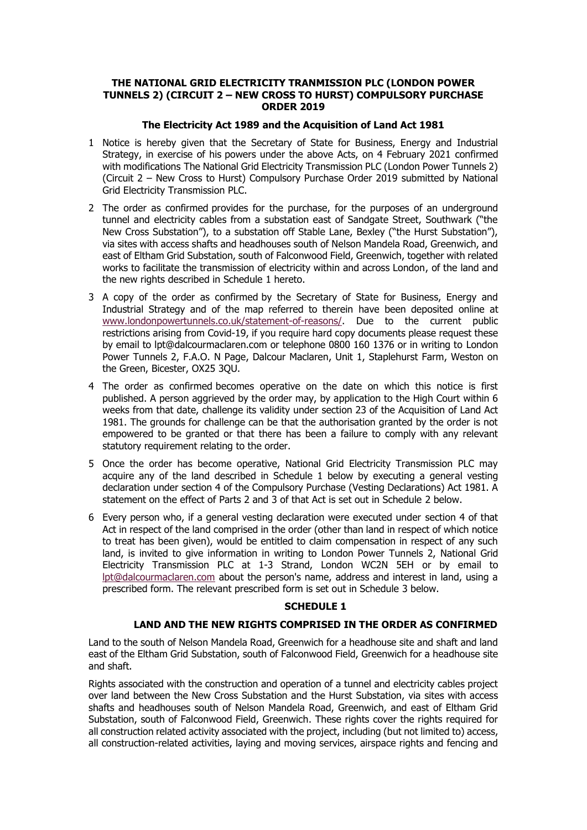## **THE NATIONAL GRID ELECTRICITY TRANMISSION PLC (LONDON POWER TUNNELS 2) (CIRCUIT 2 – NEW CROSS TO HURST) COMPULSORY PURCHASE ORDER 2019**

## **The Electricity Act 1989 and the Acquisition of Land Act 1981**

- 1 Notice is hereby given that the Secretary of State for Business, Energy and Industrial Strategy, in exercise of his powers under the above Acts, on 4 February 2021 confirmed with modifications The National Grid Electricity Transmission PLC (London Power Tunnels 2) (Circuit 2 – New Cross to Hurst) Compulsory Purchase Order 2019 submitted by National Grid Electricity Transmission PLC.
- 2 The order as confirmed provides for the purchase, for the purposes of an underground tunnel and electricity cables from a substation east of Sandgate Street, Southwark ("the New Cross Substation"), to a substation off Stable Lane, Bexley ("the Hurst Substation"), via sites with access shafts and headhouses south of Nelson Mandela Road, Greenwich, and east of Eltham Grid Substation, south of Falconwood Field, Greenwich, together with related works to facilitate the transmission of electricity within and across London, of the land and the new rights described in Schedule 1 hereto.
- 3 A copy of the order as confirmed by the Secretary of State for Business, Energy and Industrial Strategy and of the map referred to therein have been deposited online at [www.londonpowertunnels.co.uk/statement-of-reasons/.](http://www.londonpowertunnels.co.uk/statement-of-reasons/) Due to the current public restrictions arising from Covid-19, if you require hard copy documents please request these by email to lpt@dalcourmaclaren.com or telephone 0800 160 1376 or in writing to London Power Tunnels 2, F.A.O. N Page, Dalcour Maclaren, Unit 1, Staplehurst Farm, Weston on the Green, Bicester, OX25 3QU.
- 4 The order as confirmed becomes operative on the date on which this notice is first published. A person aggrieved by the order may, by application to the High Court within 6 weeks from that date, challenge its validity under [section 23](https://www.lexisnexis.com/uk/legal/search/enhRunRemoteLink.do?linkInfo=F%23GB%23UK_ACTS%23sect%2523%25num%251981_67a%25section%2523%25&A=0.44706109332557786&backKey=20_T73352812&service=citation&ersKey=23_T73352814&langcountry=GB) of the Acquisition of Land Act 1981. The grounds for challenge can be that the authorisation granted by the order is not empowered to be granted or that there has been a failure to comply with any relevant statutory requirement relating to the order.
- 5 Once the order has become operative, National Grid Electricity Transmission PLC may acquire any of the land described in Schedule 1 below by executing a general vesting declaration under section 4 of the Compulsory Purchase (Vesting Declarations) Act 1981. A statement on the effect of Parts 2 and 3 of that Act is set out in Schedule 2 below.
- 6 Every person who, if a general vesting declaration were executed under section 4 of that Act in respect of the land comprised in the order (other than land in respect of which notice to treat has been given), would be entitled to claim compensation in respect of any such land, is invited to give information in writing to London Power Tunnels 2, National Grid Electricity Transmission PLC at 1-3 Strand, London WC2N 5EH or by email to [lpt@dalcourmaclaren.com](mailto:lpt@dalcourmaclaren.com) about the person's name, address and interest in land, using a prescribed form. The relevant prescribed form is set out in Schedule 3 below.

## **SCHEDULE 1**

# **LAND AND THE NEW RIGHTS COMPRISED IN THE ORDER AS CONFIRMED**

Land to the south of Nelson Mandela Road, Greenwich for a headhouse site and shaft and land east of the Eltham Grid Substation, south of Falconwood Field, Greenwich for a headhouse site and shaft.

Rights associated with the construction and operation of a tunnel and electricity cables project over land between the New Cross Substation and the Hurst Substation, via sites with access shafts and headhouses south of Nelson Mandela Road, Greenwich, and east of Eltham Grid Substation, south of Falconwood Field, Greenwich. These rights cover the rights required for all construction related activity associated with the project, including (but not limited to) access, all construction-related activities, laying and moving services, airspace rights and fencing and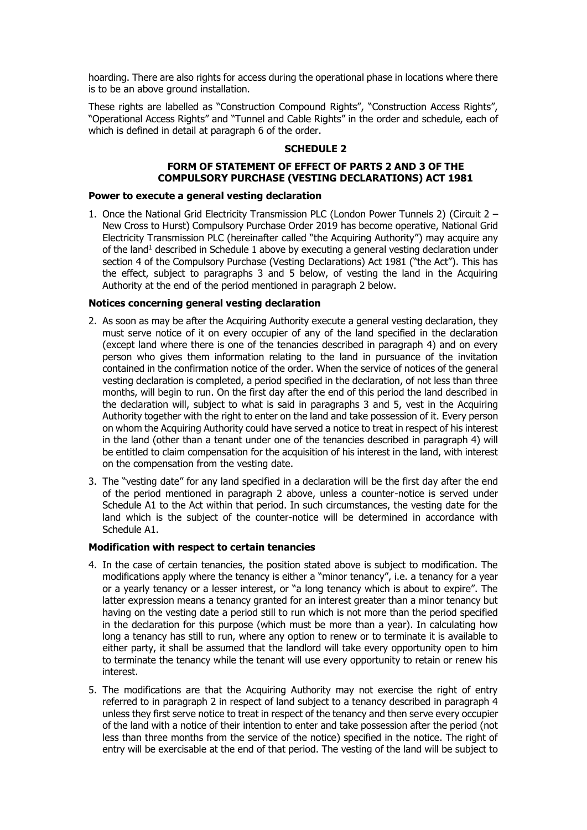hoarding. There are also rights for access during the operational phase in locations where there is to be an above ground installation.

These rights are labelled as "Construction Compound Rights", "Construction Access Rights", "Operational Access Rights" and "Tunnel and Cable Rights" in the order and schedule, each of which is defined in detail at paragraph 6 of the order.

## **SCHEDULE 2**

# **FORM OF STATEMENT OF EFFECT OF PARTS 2 AND 3 OF THE COMPULSORY PURCHASE (VESTING DECLARATIONS) ACT 1981**

#### **Power to execute a general vesting declaration**

1. Once the National Grid Electricity Transmission PLC (London Power Tunnels 2) (Circuit 2 – New Cross to Hurst) Compulsory Purchase Order 2019 has become operative, National Grid Electricity Transmission PLC (hereinafter called "the Acquiring Authority") may acquire any of the land<sup>1</sup> described in Schedule 1 above by executing a general vesting declaration under section 4 of the Compulsory Purchase (Vesting Declarations) Act 1981 ("the Act"). This has the effect, subject to paragraphs 3 and 5 below, of vesting the land in the Acquiring Authority at the end of the period mentioned in paragraph 2 below.

## **Notices concerning general vesting declaration**

- 2. As soon as may be after the Acquiring Authority execute a general vesting declaration, they must serve notice of it on every occupier of any of the land specified in the declaration (except land where there is one of the tenancies described in paragraph 4) and on every person who gives them information relating to the land in pursuance of the invitation contained in the confirmation notice of the order. When the service of notices of the general vesting declaration is completed, a period specified in the declaration, of not less than three months, will begin to run. On the first day after the end of this period the land described in the declaration will, subject to what is said in paragraphs 3 and 5, vest in the Acquiring Authority together with the right to enter on the land and take possession of it. Every person on whom the Acquiring Authority could have served a notice to treat in respect of his interest in the land (other than a tenant under one of the tenancies described in paragraph 4) will be entitled to claim compensation for the acquisition of his interest in the land, with interest on the compensation from the vesting date.
- 3. The "vesting date" for any land specified in a declaration will be the first day after the end of the period mentioned in paragraph 2 above, unless a counter-notice is served under Schedule A1 to the Act within that period. In such circumstances, the vesting date for the land which is the subject of the counter-notice will be determined in accordance with Schedule A1.

## **Modification with respect to certain tenancies**

- 4. In the case of certain tenancies, the position stated above is subject to modification. The modifications apply where the tenancy is either a "minor tenancy", i.e. a tenancy for a year or a yearly tenancy or a lesser interest, or "a long tenancy which is about to expire". The latter expression means a tenancy granted for an interest greater than a minor tenancy but having on the vesting date a period still to run which is not more than the period specified in the declaration for this purpose (which must be more than a year). In calculating how long a tenancy has still to run, where any option to renew or to terminate it is available to either party, it shall be assumed that the landlord will take every opportunity open to him to terminate the tenancy while the tenant will use every opportunity to retain or renew his interest.
- 5. The modifications are that the Acquiring Authority may not exercise the right of entry referred to in paragraph 2 in respect of land subject to a tenancy described in paragraph 4 unless they first serve notice to treat in respect of the tenancy and then serve every occupier of the land with a notice of their intention to enter and take possession after the period (not less than three months from the service of the notice) specified in the notice. The right of entry will be exercisable at the end of that period. The vesting of the land will be subject to